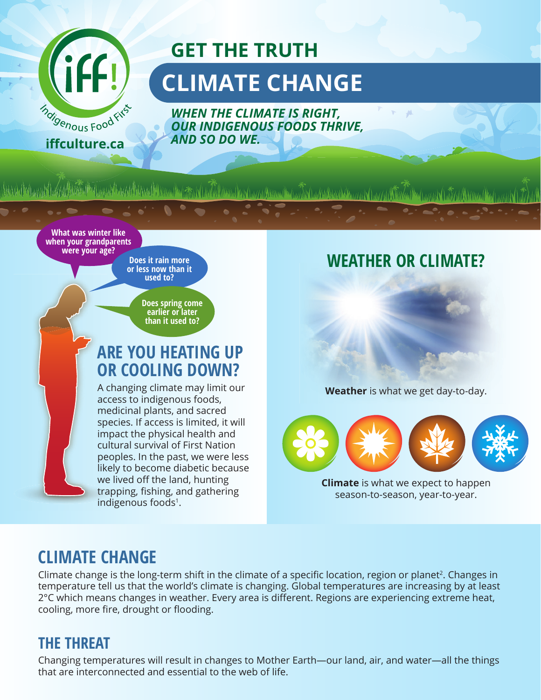

# **GET THE TRUTH CLIMATE CHANGE**

*WHEN THE CLIMATE IS RIGHT, OUR INDIGENOUS FOODS THRIVE, AND SO DO WE.*

media and the property of the property of the second control and control to the control of the control of the

**What was winter like when your grandparents were your age?** 

**Does it rain more or less now than it used to?**

> **Does spring come earlier or later than it used to?**

### **ARE YOU HEATING UP OR COOLING DOWN?**

A changing climate may limit our access to indigenous foods, medicinal plants, and sacred species. If access is limited, it will impact the physical health and cultural survival of First Nation peoples. In the past, we were less likely to become diabetic because we lived off the land, hunting trapping, fishing, and gathering indigenous foods<sup>1</sup>.

#### **WEATHER OR CLIMATE?**

**Weather** is what we get day-to-day.



**Climate** is what we expect to happen season-to-season, year-to-year.

#### **CLIMATE CHANGE**

Climate change is the long-term shift in the climate of a specific location, region or planet<sup>2</sup>. Changes in temperature tell us that the world's climate is changing. Global temperatures are increasing by at least 2°C which means changes in weather. Every area is different. Regions are experiencing extreme heat, cooling, more fire, drought or flooding.

#### **THE THREAT**

Changing temperatures will result in changes to Mother Earth—our land, air, and water—all the things that are interconnected and essential to the web of life.